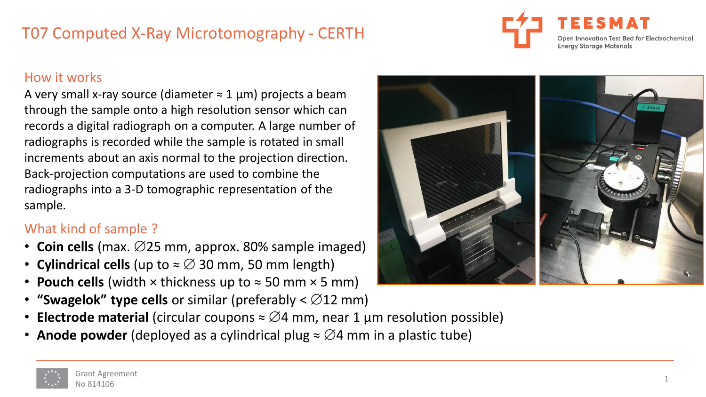## T07 Computed X-Ray Microtomography - CERTH



#### How it works

A very small x-ray source (diameter  $\approx$  1 µm) projects a beam through the sample onto a high resolution sensor which can records a digital radiograph on a computer. A large number of radiographs is recorded while the sample is rotated in small increments about an axis normal to the projection direction. Back-projection computations are used to combine the radiographs into a 3-D tomographic representation of the sample.

## What kind of sample ?

- **Coin cells** (max.  $\varnothing$ 25 mm, approx. 80% sample imaged)
- **Cylindrical cells** (up to  $\approx \emptyset$  30 mm, 50 mm length)
- **Pouch cells** (width  $\times$  thickness up to  $\approx$  50 mm  $\times$  5 mm)
- **"Swagelok" type cells** or similar (preferably  $\lt \emptyset$ 12 mm)
- **Electrode material** (circular coupons  $\approx \emptyset$ 4 mm, near 1 µm resolution possible)
- **Anode powder** (deployed as a cylindrical plug  $\approx \emptyset$ 4 mm in a plastic tube)